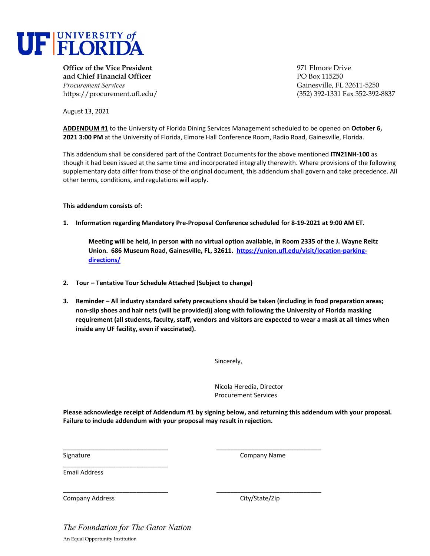

**Office of the Vice President** 971 Elmore Drive **and Chief Financial Officer** PO Box 115250 *Procurement Services* Gainesville, FL 32611-5250

https://procurement.ufl.edu/ (352) 392-1331 Fax 352-392-8837

August 13, 2021

**ADDENDUM #1** to the University of Florida Dining Services Management scheduled to be opened on **October 6, 2021 3:00 PM** at the University of Florida, Elmore Hall Conference Room, Radio Road, Gainesville, Florida.

This addendum shall be considered part of the Contract Documents for the above mentioned **ITN21NH‐100** as though it had been issued at the same time and incorporated integrally therewith. Where provisions of the following supplementary data differ from those of the original document, this addendum shall govern and take precedence. All other terms, conditions, and regulations will apply.

## **This addendum consists of:**

1. Information regarding Mandatory Pre-Proposal Conference scheduled for 8-19-2021 at 9:00 AM ET.

Meeting will be held, in person with no virtual option available, in Room 2335 of the J. Wayne Reitz **Union. 686 Museum Road, Gainesville, FL, 32611. https://union.ufl.edu/visit/location‐parking‐ directions/**

- **2. Tour – Tentative Tour Schedule Attached (Subject to change)**
- **3. Reminder – All industry standard safety precautions should be taken (including in food preparation areas;** non-slip shoes and hair nets (will be provided)) along with following the University of Florida masking requirement (all students, faculty, staff, vendors and visitors are expected to wear a mask at all times when **inside any UF facility, even if vaccinated).**

Sincerely,

Nicola Heredia, Director Procurement Services

**Please acknowledge receipt of Addendum #1 by signing below, and returning this addendum with your proposal. Failure to include addendum with your proposal may result in rejection.**

\_\_\_\_\_\_\_\_\_\_\_\_\_\_\_\_\_\_\_\_\_\_\_\_\_\_\_\_\_\_ \_\_\_\_\_\_\_\_\_\_\_\_\_\_\_\_\_\_\_\_\_\_\_\_\_\_\_\_\_\_

\_\_\_\_\_\_\_\_\_\_\_\_\_\_\_\_\_\_\_\_\_\_\_\_\_\_\_\_\_\_ \_\_\_\_\_\_\_\_\_\_\_\_\_\_\_\_\_\_\_\_\_\_\_\_\_\_\_\_\_\_

Signature **Company Name** 

Email Address

Company Address City/State/Zip

*The Foundation for The Gator Nation*  An Equal Opportunity Institution

\_\_\_\_\_\_\_\_\_\_\_\_\_\_\_\_\_\_\_\_\_\_\_\_\_\_\_\_\_\_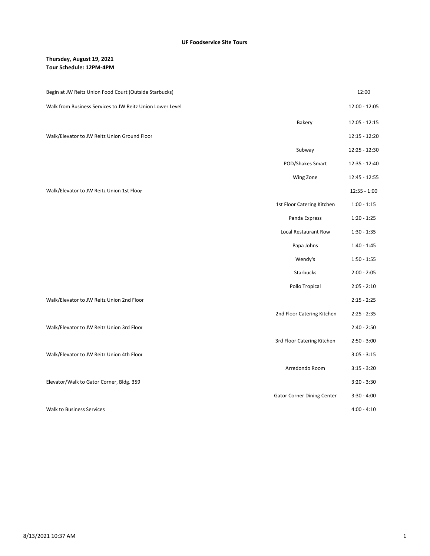## **Thursday, August 19, 2021 Tour Schedule: 12PM‐4PM**

| Begin at JW Reitz Union Food Court (Outside Starbucks)    |                                   | 12:00          |
|-----------------------------------------------------------|-----------------------------------|----------------|
| Walk from Business Services to JW Reitz Union Lower Level |                                   | 12:00 - 12:05  |
|                                                           | Bakery                            | 12:05 - 12:15  |
| Walk/Elevator to JW Reitz Union Ground Floor              |                                   | 12:15 - 12:20  |
|                                                           | Subway                            | 12:25 - 12:30  |
|                                                           | POD/Shakes Smart                  | 12:35 - 12:40  |
|                                                           | Wing Zone                         | 12:45 - 12:55  |
| Walk/Elevator to JW Reitz Union 1st Floor                 |                                   | $12:55 - 1:00$ |
|                                                           | 1st Floor Catering Kitchen        | $1:00 - 1:15$  |
|                                                           | Panda Express                     | $1:20 - 1:25$  |
|                                                           | Local Restaurant Row              | $1:30 - 1:35$  |
|                                                           | Papa Johns                        | $1:40 - 1:45$  |
|                                                           | Wendy's                           | $1:50 - 1:55$  |
|                                                           | <b>Starbucks</b>                  | $2:00 - 2:05$  |
|                                                           | Pollo Tropical                    | $2:05 - 2:10$  |
| Walk/Elevator to JW Reitz Union 2nd Floor                 |                                   | $2:15 - 2:25$  |
|                                                           | 2nd Floor Catering Kitchen        | $2:25 - 2:35$  |
| Walk/Elevator to JW Reitz Union 3rd Floor                 |                                   | $2:40 - 2:50$  |
|                                                           | 3rd Floor Catering Kitchen        | $2:50 - 3:00$  |
| Walk/Elevator to JW Reitz Union 4th Floor                 |                                   | $3:05 - 3:15$  |
|                                                           | Arredondo Room                    | $3:15 - 3:20$  |
| Elevator/Walk to Gator Corner, Bldg. 359                  |                                   | $3:20 - 3:30$  |
|                                                           | <b>Gator Corner Dining Center</b> | $3:30 - 4:00$  |
| <b>Walk to Business Services</b>                          |                                   | $4:00 - 4:10$  |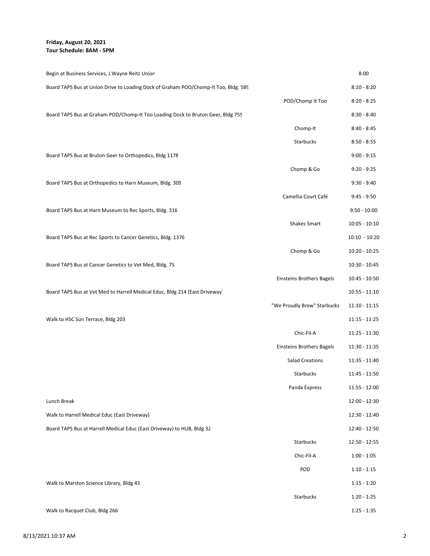**Friday, August 20, 2021 Tour Schedule: 8AM ‐ 5PM**

| Begin at Business Services, J. Wayne Reitz Union                                    |                                  | 8:00            |
|-------------------------------------------------------------------------------------|----------------------------------|-----------------|
| Board TAPS Bus at Union Drive to Loading Dock of Graham POD/Chomp-It Too, Bldg. 589 |                                  | $8:10 - 8:20$   |
|                                                                                     | POD/Chomp It Too                 | $8:20 - 8:25$   |
| Board TAPS Bus at Graham POD/Chomp-It Too Loading Dock to Bruton Geer, Bldg 759     |                                  | $8:30 - 8:40$   |
|                                                                                     | Chomp-It                         | $8:40 - 8:45$   |
|                                                                                     | Starbucks                        | $8:50 - 8:55$   |
| Board TAPS Bus at Bruton Geer to Orthopedics, Bldg 1178                             |                                  | $9:00 - 9:15$   |
|                                                                                     | Chomp & Go                       | $9:20 - 9:25$   |
| Board TAPS Bus at Orthopedics to Harn Museum, Bldg. 309                             |                                  | $9:30 - 9:40$   |
|                                                                                     | Camellia Court Café              | $9:45 - 9:50$   |
| Board TAPS Bus at Harn Museum to Rec Sports, Bldg. 316                              |                                  | $9:50 - 10:00$  |
|                                                                                     | <b>Shakes Smart</b>              | $10:05 - 10:10$ |
| Board TAPS Bus at Rec Sports to Cancer Genetics, Bldg. 1376                         |                                  | $10:10 - 10:20$ |
|                                                                                     | Chomp & Go                       | 10:20 - 10:25   |
| Board TAPS Bus at Cancer Genetics to Vet Med, Bldg. 75                              |                                  | 10:30 - 10:45   |
|                                                                                     | <b>Einsteins Brothers Bagels</b> | 10:45 - 10:50   |
| Board TAPS Bus at Vet Med to Harrell Medical Educ, Bldg 214 (East Driveway)         |                                  | $10:55 - 11:10$ |
|                                                                                     | "We Proudly Brew" Starbucks      | $11:10 - 11:15$ |
| Walk to HSC Sun Terrace, Bldg 203                                                   |                                  | $11:15 - 11:25$ |
|                                                                                     | Chic-Fil-A                       | 11:25 - 11:30   |
|                                                                                     | <b>Einsteins Brothers Bagels</b> | 11:30 - 11:35   |
|                                                                                     | <b>Salad Creations</b>           | 11:35 - 11:40   |
|                                                                                     | Starbucks                        | 11:45 - 11:50   |
|                                                                                     | Panda Express                    | 11:55 - 12:00   |
| Lunch Break                                                                         |                                  | 12:00 - 12:30   |
| Walk to Harrell Medical Educ (East Driveway)                                        |                                  | 12:30 - 12:40   |
| Board TAPS Bus at Harrell Medical Educ (East Driveway) to HUB, Bldg 32              |                                  | 12:40 - 12:50   |
|                                                                                     | Starbucks                        | 12:50 - 12:55   |
|                                                                                     | Chic-Fil-A                       | $1:00 - 1:05$   |
|                                                                                     | POD                              | $1:10 - 1:15$   |
| Walk to Marston Science Library, Bldg 43                                            |                                  | $1:15 - 1:20$   |
|                                                                                     | Starbucks                        | $1:20 - 1:25$   |
| Walk to Racquet Club, Bldg 266                                                      |                                  | $1:25 - 1:35$   |